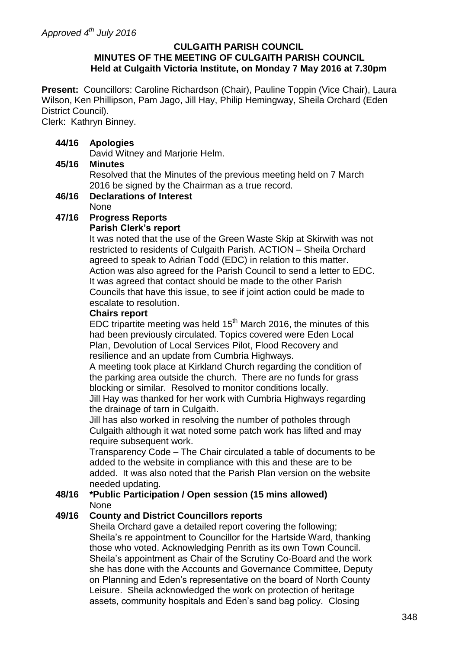## **CULGAITH PARISH COUNCIL MINUTES OF THE MEETING OF CULGAITH PARISH COUNCIL Held at Culgaith Victoria Institute, on Monday 7 May 2016 at 7.30pm**

**Present:** Councillors: Caroline Richardson (Chair), Pauline Toppin (Vice Chair), Laura Wilson, Ken Phillipson, Pam Jago, Jill Hay, Philip Hemingway, Sheila Orchard (Eden District Council).

Clerk: Kathryn Binney.

# **44/16 Apologies**

David Witney and Marjorie Helm.

# **45/16 Minutes**

Resolved that the Minutes of the previous meeting held on 7 March 2016 be signed by the Chairman as a true record.

## **46/16 Declarations of Interest** None

# **47/16 Progress Reports**

# **Parish Clerk's report**

It was noted that the use of the Green Waste Skip at Skirwith was not restricted to residents of Culgaith Parish. ACTION – Sheila Orchard agreed to speak to Adrian Todd (EDC) in relation to this matter. Action was also agreed for the Parish Council to send a letter to EDC. It was agreed that contact should be made to the other Parish Councils that have this issue, to see if joint action could be made to escalate to resolution.

## **Chairs report**

EDC tripartite meeting was held  $15<sup>th</sup>$  March 2016, the minutes of this had been previously circulated. Topics covered were Eden Local Plan, Devolution of Local Services Pilot, Flood Recovery and resilience and an update from Cumbria Highways.

A meeting took place at Kirkland Church regarding the condition of the parking area outside the church. There are no funds for grass blocking or similar. Resolved to monitor conditions locally.

Jill Hay was thanked for her work with Cumbria Highways regarding the drainage of tarn in Culgaith.

Jill has also worked in resolving the number of potholes through Culgaith although it wat noted some patch work has lifted and may require subsequent work.

Transparency Code – The Chair circulated a table of documents to be added to the website in compliance with this and these are to be added. It was also noted that the Parish Plan version on the website needed updating.

#### **48/16 \*Public Participation / Open session (15 mins allowed)** None

# **49/16 County and District Councillors reports**

Sheila Orchard gave a detailed report covering the following; Sheila's re appointment to Councillor for the Hartside Ward, thanking those who voted. Acknowledging Penrith as its own Town Council. Sheila's appointment as Chair of the Scrutiny Co-Board and the work she has done with the Accounts and Governance Committee, Deputy on Planning and Eden's representative on the board of North County Leisure. Sheila acknowledged the work on protection of heritage assets, community hospitals and Eden's sand bag policy. Closing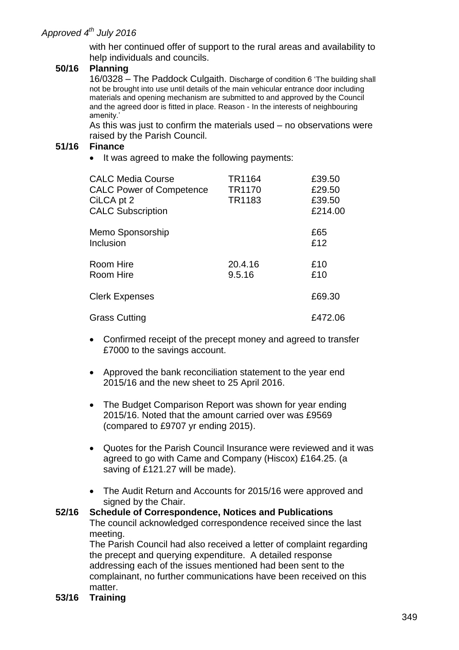with her continued offer of support to the rural areas and availability to help individuals and councils.

## **50/16 Planning**

16/0328 – The Paddock Culgaith. Discharge of condition 6 'The building shall not be brought into use until details of the main vehicular entrance door including materials and opening mechanism are submitted to and approved by the Council and the agreed door is fitted in place. Reason - In the interests of neighbouring amenity.'

As this was just to confirm the materials used – no observations were raised by the Parish Council.

#### **51/16 Finance**

• It was agreed to make the following payments:

| <b>CALC Media Course</b><br><b>CALC Power of Competence</b><br>CiLCA pt 2<br><b>CALC Subscription</b> | TR1164<br>TR <sub>1170</sub><br>TR1183 | £39.50<br>£29.50<br>£39.50<br>£214.00 |
|-------------------------------------------------------------------------------------------------------|----------------------------------------|---------------------------------------|
| Memo Sponsorship<br>Inclusion                                                                         |                                        | £65<br>£12                            |
| Room Hire<br>Room Hire                                                                                | 20.4.16<br>9.5.16                      | £10<br>£10                            |
| <b>Clerk Expenses</b>                                                                                 |                                        | £69.30                                |
| <b>Grass Cutting</b>                                                                                  |                                        | £472.06                               |

- Confirmed receipt of the precept money and agreed to transfer £7000 to the savings account.
- Approved the bank reconciliation statement to the year end 2015/16 and the new sheet to 25 April 2016.
- The Budget Comparison Report was shown for year ending 2015/16. Noted that the amount carried over was £9569 (compared to £9707 yr ending 2015).
- Quotes for the Parish Council Insurance were reviewed and it was agreed to go with Came and Company (Hiscox) £164.25. (a saving of £121.27 will be made).
- The Audit Return and Accounts for 2015/16 were approved and signed by the Chair.

# **52/16 Schedule of Correspondence, Notices and Publications** The council acknowledged correspondence received since the last meeting. The Parish Council had also received a letter of complaint regarding the precept and querying expenditure. A detailed response

addressing each of the issues mentioned had been sent to the complainant, no further communications have been received on this matter.

**53/16 Training**